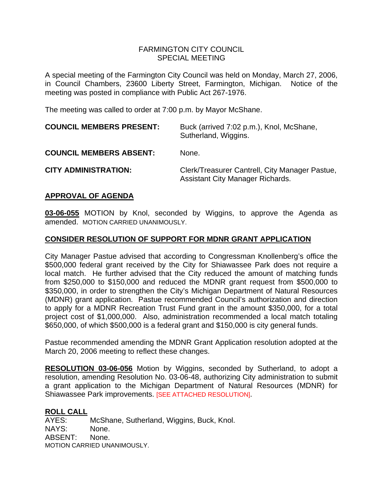## FARMINGTON CITY COUNCIL SPECIAL MEETING

A special meeting of the Farmington City Council was held on Monday, March 27, 2006, in Council Chambers, 23600 Liberty Street, Farmington, Michigan. Notice of the meeting was posted in compliance with Public Act 267-1976.

The meeting was called to order at 7:00 p.m. by Mayor McShane.

| <b>COUNCIL MEMBERS PRESENT:</b> | Buck (arrived 7:02 p.m.), Knol, McShane,<br>Sutherland, Wiggins.                          |
|---------------------------------|-------------------------------------------------------------------------------------------|
| <b>COUNCIL MEMBERS ABSENT:</b>  | None.                                                                                     |
| <b>CITY ADMINISTRATION:</b>     | Clerk/Treasurer Cantrell, City Manager Pastue,<br><b>Assistant City Manager Richards.</b> |

## **APPROVAL OF AGENDA**

**03-06-055** MOTION by Knol, seconded by Wiggins, to approve the Agenda as amended. MOTION CARRIED UNANIMOUSLY.

## **CONSIDER RESOLUTION OF SUPPORT FOR MDNR GRANT APPLICATION**

City Manager Pastue advised that according to Congressman Knollenberg's office the \$500,000 federal grant received by the City for Shiawassee Park does not require a local match. He further advised that the City reduced the amount of matching funds from \$250,000 to \$150,000 and reduced the MDNR grant request from \$500,000 to \$350,000, in order to strengthen the City's Michigan Department of Natural Resources (MDNR) grant application. Pastue recommended Council's authorization and direction to apply for a MDNR Recreation Trust Fund grant in the amount \$350,000, for a total project cost of \$1,000,000. Also, administration recommended a local match totaling \$650,000, of which \$500,000 is a federal grant and \$150,000 is city general funds.

Pastue recommended amending the MDNR Grant Application resolution adopted at the March 20, 2006 meeting to reflect these changes.

**RESOLUTION 03-06-056** Motion by Wiggins, seconded by Sutherland, to adopt a resolution, amending Resolution No. 03-06-48, authorizing City administration to submit a grant application to the Michigan Department of Natural Resources (MDNR) for Shiawassee Park improvements. [SEE ATTACHED RESOLUTION].

#### **ROLL CALL**

AYES: McShane, Sutherland, Wiggins, Buck, Knol. NAYS: None. ABSENT: None. MOTION CARRIED UNANIMOUSLY.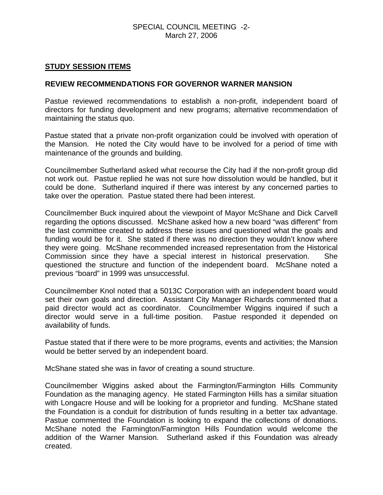## SPECIAL COUNCIL MEETING -2- March 27, 2006

## **STUDY SESSION ITEMS**

## **REVIEW RECOMMENDATIONS FOR GOVERNOR WARNER MANSION**

Pastue reviewed recommendations to establish a non-profit, independent board of directors for funding development and new programs; alternative recommendation of maintaining the status quo.

Pastue stated that a private non-profit organization could be involved with operation of the Mansion. He noted the City would have to be involved for a period of time with maintenance of the grounds and building.

Councilmember Sutherland asked what recourse the City had if the non-profit group did not work out. Pastue replied he was not sure how dissolution would be handled, but it could be done. Sutherland inquired if there was interest by any concerned parties to take over the operation. Pastue stated there had been interest.

Councilmember Buck inquired about the viewpoint of Mayor McShane and Dick Carvell regarding the options discussed. McShane asked how a new board "was different" from the last committee created to address these issues and questioned what the goals and funding would be for it. She stated if there was no direction they wouldn't know where they were going. McShane recommended increased representation from the Historical Commission since they have a special interest in historical preservation. She questioned the structure and function of the independent board. McShane noted a previous "board" in 1999 was unsuccessful.

Councilmember Knol noted that a 5013C Corporation with an independent board would set their own goals and direction. Assistant City Manager Richards commented that a paid director would act as coordinator. Councilmember Wiggins inquired if such a director would serve in a full-time position. Pastue responded it depended on availability of funds.

Pastue stated that if there were to be more programs, events and activities; the Mansion would be better served by an independent board.

McShane stated she was in favor of creating a sound structure.

Councilmember Wiggins asked about the Farmington/Farmington Hills Community Foundation as the managing agency. He stated Farmington Hills has a similar situation with Longacre House and will be looking for a proprietor and funding. McShane stated the Foundation is a conduit for distribution of funds resulting in a better tax advantage. Pastue commented the Foundation is looking to expand the collections of donations. McShane noted the Farmington/Farmington Hills Foundation would welcome the addition of the Warner Mansion. Sutherland asked if this Foundation was already created.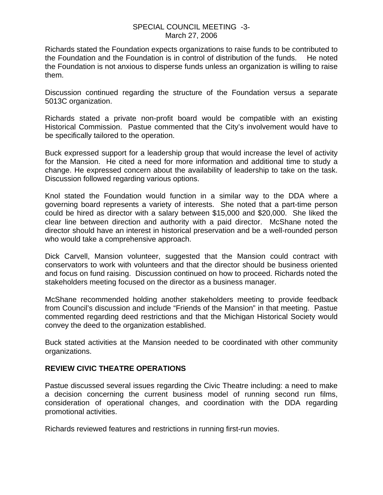### SPECIAL COUNCIL MEETING -3- March 27, 2006

Richards stated the Foundation expects organizations to raise funds to be contributed to the Foundation and the Foundation is in control of distribution of the funds. He noted the Foundation is not anxious to disperse funds unless an organization is willing to raise them.

Discussion continued regarding the structure of the Foundation versus a separate 5013C organization.

Richards stated a private non-profit board would be compatible with an existing Historical Commission. Pastue commented that the City's involvement would have to be specifically tailored to the operation.

Buck expressed support for a leadership group that would increase the level of activity for the Mansion. He cited a need for more information and additional time to study a change. He expressed concern about the availability of leadership to take on the task. Discussion followed regarding various options.

Knol stated the Foundation would function in a similar way to the DDA where a governing board represents a variety of interests. She noted that a part-time person could be hired as director with a salary between \$15,000 and \$20,000. She liked the clear line between direction and authority with a paid director. McShane noted the director should have an interest in historical preservation and be a well-rounded person who would take a comprehensive approach.

Dick Carvell, Mansion volunteer, suggested that the Mansion could contract with conservators to work with volunteers and that the director should be business oriented and focus on fund raising. Discussion continued on how to proceed. Richards noted the stakeholders meeting focused on the director as a business manager.

McShane recommended holding another stakeholders meeting to provide feedback from Council's discussion and include "Friends of the Mansion" in that meeting. Pastue commented regarding deed restrictions and that the Michigan Historical Society would convey the deed to the organization established.

Buck stated activities at the Mansion needed to be coordinated with other community organizations.

# **REVIEW CIVIC THEATRE OPERATIONS**

Pastue discussed several issues regarding the Civic Theatre including: a need to make a decision concerning the current business model of running second run films, consideration of operational changes, and coordination with the DDA regarding promotional activities.

Richards reviewed features and restrictions in running first-run movies.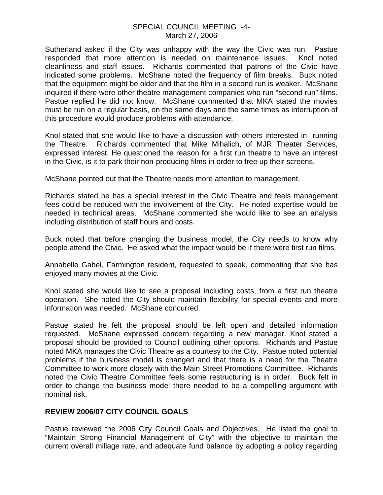## SPECIAL COUNCIL MEETING -4- March 27, 2006

Sutherland asked if the City was unhappy with the way the Civic was run. Pastue responded that more attention is needed on maintenance issues. Knol noted cleanliness and staff issues. Richards commented that patrons of the Civic have indicated some problems. McShane noted the frequency of film breaks. Buck noted that the equipment might be older and that the film in a second run is weaker. McShane inquired if there were other theatre management companies who run "second run" films. Pastue replied he did not know. McShane commented that MKA stated the movies must be run on a regular basis, on the same days and the same times as interruption of this procedure would produce problems with attendance.

Knol stated that she would like to have a discussion with others interested in running the Theatre. Richards commented that Mike Mihalich, of MJR Theater Services, expressed interest. He questioned the reason for a first run theatre to have an interest in the Civic, is it to park their non-producing films in order to free up their screens.

McShane pointed out that the Theatre needs more attention to management.

Richards stated he has a special interest in the Civic Theatre and feels management fees could be reduced with the involvement of the City. He noted expertise would be needed in technical areas. McShane commented she would like to see an analysis including distribution of staff hours and costs.

Buck noted that before changing the business model, the City needs to know why people attend the Civic. He asked what the impact would be if there were first run films.

Annabelle Gabel, Farmington resident, requested to speak, commenting that she has enjoyed many movies at the Civic.

Knol stated she would like to see a proposal including costs, from a first run theatre operation. She noted the City should maintain flexibility for special events and more information was needed. McShane concurred.

Pastue stated he felt the proposal should be left open and detailed information requested. McShane expressed concern regarding a new manager. Knol stated a proposal should be provided to Council outlining other options. Richards and Pastue noted MKA manages the Civic Theatre as a courtesy to the City. Pastue noted potential problems if the business model is changed and that there is a need for the Theatre Committee to work more closely with the Main Street Promotions Committee. Richards noted the Civic Theatre Committee feels some restructuring is in order. Buck felt in order to change the business model there needed to be a compelling argument with nominal risk.

## **REVIEW 2006/07 CITY COUNCIL GOALS**

Pastue reviewed the 2006 City Council Goals and Objectives. He listed the goal to "Maintain Strong Financial Management of City" with the objective to maintain the current overall millage rate, and adequate fund balance by adopting a policy regarding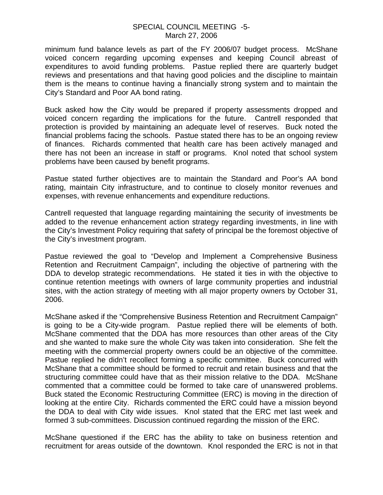#### SPECIAL COUNCIL MEETING -5- March 27, 2006

minimum fund balance levels as part of the FY 2006/07 budget process. McShane voiced concern regarding upcoming expenses and keeping Council abreast of expenditures to avoid funding problems. Pastue replied there are quarterly budget reviews and presentations and that having good policies and the discipline to maintain them is the means to continue having a financially strong system and to maintain the City's Standard and Poor AA bond rating.

Buck asked how the City would be prepared if property assessments dropped and voiced concern regarding the implications for the future. Cantrell responded that protection is provided by maintaining an adequate level of reserves. Buck noted the financial problems facing the schools. Pastue stated there has to be an ongoing review of finances. Richards commented that health care has been actively managed and there has not been an increase in staff or programs. Knol noted that school system problems have been caused by benefit programs.

Pastue stated further objectives are to maintain the Standard and Poor's AA bond rating, maintain City infrastructure, and to continue to closely monitor revenues and expenses, with revenue enhancements and expenditure reductions.

Cantrell requested that language regarding maintaining the security of investments be added to the revenue enhancement action strategy regarding investments, in line with the City's Investment Policy requiring that safety of principal be the foremost objective of the City's investment program.

Pastue reviewed the goal to "Develop and Implement a Comprehensive Business Retention and Recruitment Campaign", including the objective of partnering with the DDA to develop strategic recommendations. He stated it ties in with the objective to continue retention meetings with owners of large community properties and industrial sites, with the action strategy of meeting with all major property owners by October 31, 2006.

McShane asked if the "Comprehensive Business Retention and Recruitment Campaign" is going to be a City-wide program. Pastue replied there will be elements of both. McShane commented that the DDA has more resources than other areas of the City and she wanted to make sure the whole City was taken into consideration. She felt the meeting with the commercial property owners could be an objective of the committee. Pastue replied he didn't recollect forming a specific committee. Buck concurred with McShane that a committee should be formed to recruit and retain business and that the structuring committee could have that as their mission relative to the DDA. McShane commented that a committee could be formed to take care of unanswered problems. Buck stated the Economic Restructuring Committee (ERC) is moving in the direction of looking at the entire City. Richards commented the ERC could have a mission beyond the DDA to deal with City wide issues. Knol stated that the ERC met last week and formed 3 sub-committees. Discussion continued regarding the mission of the ERC.

McShane questioned if the ERC has the ability to take on business retention and recruitment for areas outside of the downtown. Knol responded the ERC is not in that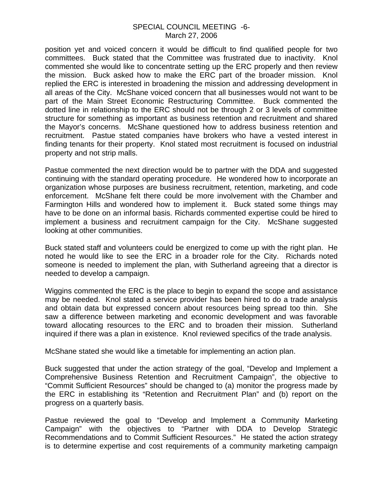## SPECIAL COUNCIL MEETING -6- March 27, 2006

position yet and voiced concern it would be difficult to find qualified people for two committees. Buck stated that the Committee was frustrated due to inactivity. Knol commented she would like to concentrate setting up the ERC properly and then review the mission. Buck asked how to make the ERC part of the broader mission. Knol replied the ERC is interested in broadening the mission and addressing development in all areas of the City. McShane voiced concern that all businesses would not want to be part of the Main Street Economic Restructuring Committee. Buck commented the dotted line in relationship to the ERC should not be through 2 or 3 levels of committee structure for something as important as business retention and recruitment and shared the Mayor's concerns. McShane questioned how to address business retention and recruitment. Pastue stated companies have brokers who have a vested interest in finding tenants for their property. Knol stated most recruitment is focused on industrial property and not strip malls.

Pastue commented the next direction would be to partner with the DDA and suggested continuing with the standard operating procedure. He wondered how to incorporate an organization whose purposes are business recruitment, retention, marketing, and code enforcement. McShane felt there could be more involvement with the Chamber and Farmington Hills and wondered how to implement it. Buck stated some things may have to be done on an informal basis. Richards commented expertise could be hired to implement a business and recruitment campaign for the City. McShane suggested looking at other communities.

Buck stated staff and volunteers could be energized to come up with the right plan. He noted he would like to see the ERC in a broader role for the City. Richards noted someone is needed to implement the plan, with Sutherland agreeing that a director is needed to develop a campaign.

Wiggins commented the ERC is the place to begin to expand the scope and assistance may be needed. Knol stated a service provider has been hired to do a trade analysis and obtain data but expressed concern about resources being spread too thin. She saw a difference between marketing and economic development and was favorable toward allocating resources to the ERC and to broaden their mission. Sutherland inquired if there was a plan in existence. Knol reviewed specifics of the trade analysis.

McShane stated she would like a timetable for implementing an action plan.

Buck suggested that under the action strategy of the goal, "Develop and Implement a Comprehensive Business Retention and Recruitment Campaign", the objective to "Commit Sufficient Resources" should be changed to (a) monitor the progress made by the ERC in establishing its "Retention and Recruitment Plan" and (b) report on the progress on a quarterly basis.

Pastue reviewed the goal to "Develop and Implement a Community Marketing Campaign" with the objectives to "Partner with DDA to Develop Strategic Recommendations and to Commit Sufficient Resources." He stated the action strategy is to determine expertise and cost requirements of a community marketing campaign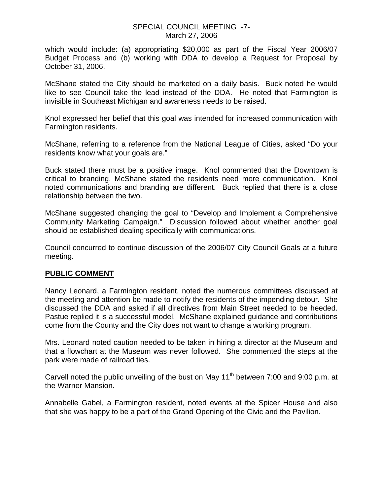## SPECIAL COUNCIL MEETING -7- March 27, 2006

which would include: (a) appropriating \$20,000 as part of the Fiscal Year 2006/07 Budget Process and (b) working with DDA to develop a Request for Proposal by October 31, 2006.

McShane stated the City should be marketed on a daily basis. Buck noted he would like to see Council take the lead instead of the DDA. He noted that Farmington is invisible in Southeast Michigan and awareness needs to be raised.

Knol expressed her belief that this goal was intended for increased communication with Farmington residents.

McShane, referring to a reference from the National League of Cities, asked "Do your residents know what your goals are."

Buck stated there must be a positive image. Knol commented that the Downtown is critical to branding. McShane stated the residents need more communication. Knol noted communications and branding are different. Buck replied that there is a close relationship between the two.

McShane suggested changing the goal to "Develop and Implement a Comprehensive Community Marketing Campaign." Discussion followed about whether another goal should be established dealing specifically with communications.

Council concurred to continue discussion of the 2006/07 City Council Goals at a future meeting.

## **PUBLIC COMMENT**

Nancy Leonard, a Farmington resident, noted the numerous committees discussed at the meeting and attention be made to notify the residents of the impending detour. She discussed the DDA and asked if all directives from Main Street needed to be heeded. Pastue replied it is a successful model. McShane explained guidance and contributions come from the County and the City does not want to change a working program.

Mrs. Leonard noted caution needed to be taken in hiring a director at the Museum and that a flowchart at the Museum was never followed. She commented the steps at the park were made of railroad ties.

Carvell noted the public unveiling of the bust on May 11<sup>th</sup> between 7:00 and 9:00 p.m. at the Warner Mansion.

Annabelle Gabel, a Farmington resident, noted events at the Spicer House and also that she was happy to be a part of the Grand Opening of the Civic and the Pavilion.